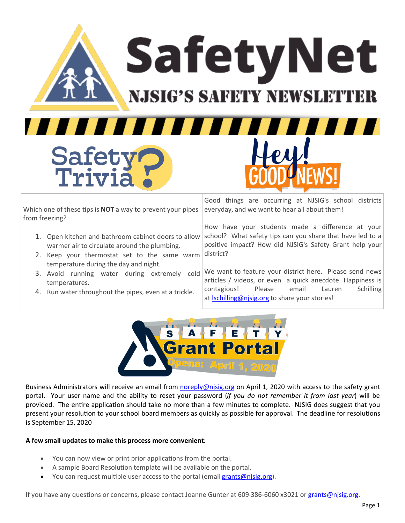SafetyNet

**NJSIG'S SAFETY NEWSLETTE** 

777 F

Trivia

Safety

,,,,,,,,,

Which one of these tips is **NOT** a way to prevent your pipes from freezing?

- 1. Open kitchen and bathroom cabinet doors to allow warmer air to circulate around the plumbing.
- 2. Keep your thermostat set to the same warm temperature during the day and night.
- 3. Avoid running water during extremely cold temperatures.
- 4. Run water throughout the pipes, even at a trickle.

Good things are occurring at NJSIG's school districts everyday, and we want to hear all about them!

How have your students made a difference at your school? What safety tips can you share that have led to a positive impact? How did NJSIG's Safety Grant help your district?

We want to feature your district here. Please send news articles / videos, or even a quick anecdote. Happiness is contagious! Please email Lauren Schilling at Ischilling@njsig.org to share your stories!



Business Administrators will receive an email from [noreply@njsig.org](mailto:noreply@njsig.org) on April 1, 2020 with access to the safety grant portal. Your user name and the ability to reset your password (*if you do not remember it from last year*) will be provided. The entire application should take no more than a few minutes to complete. NJSIG does suggest that you present your resolution to your school board members as quickly as possible for approval. The deadline for resolutions is September 15, 2020

## **A few small updates to make this process more convenient**:

- You can now view or print prior applications from the portal.
- A sample Board Resolution template will be available on the portal.
- You can request multiple user access to the portal (email [grants@njsig.org\).](mailto:grants@njsig.org)

If you have any questions or concerns, please contact Joanne Gunter at 609-386-6060 x3021 or [grants@njsig.org.](mailto:grants@njsig.org)